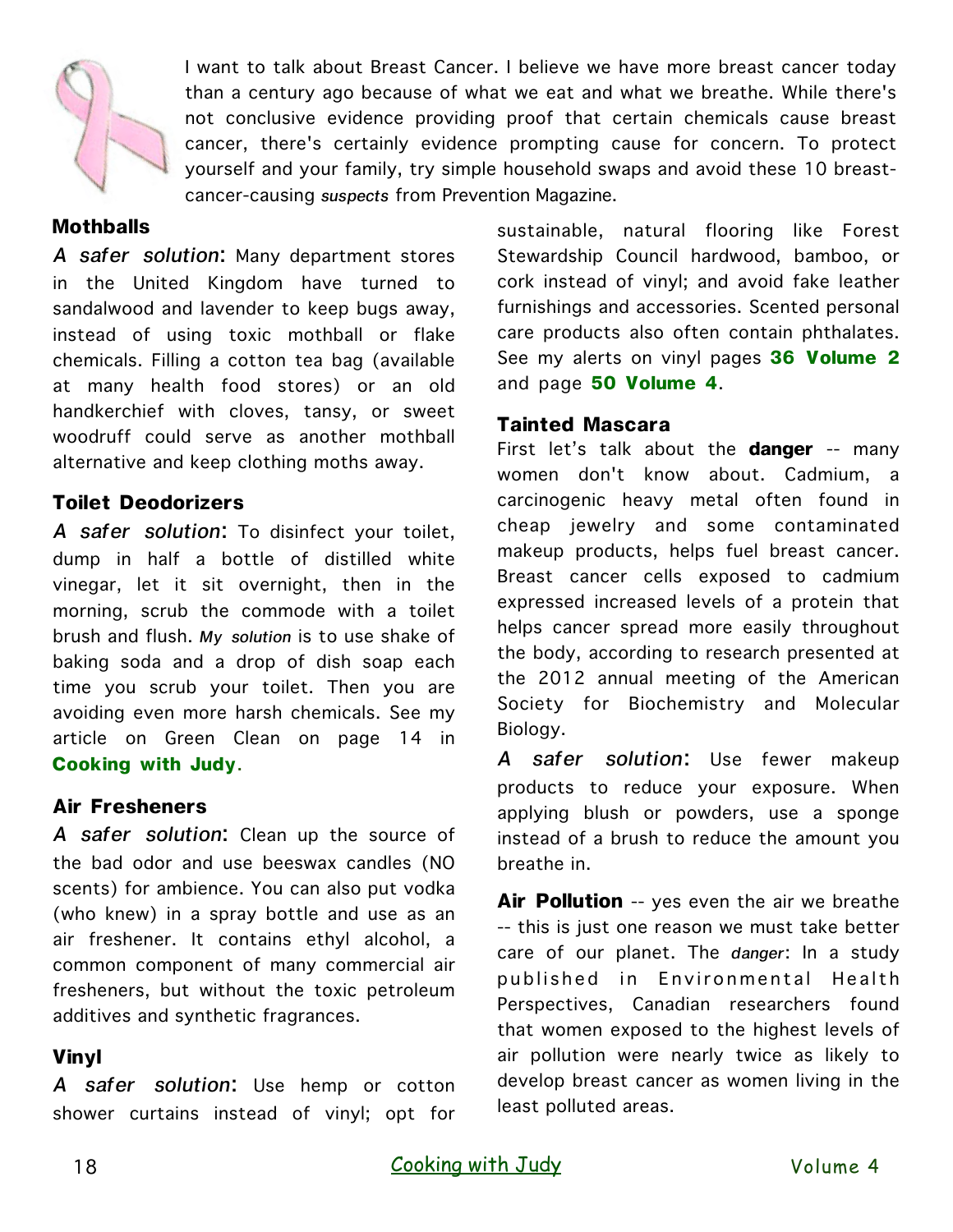

I want to talk about Breast Cancer. I believe we have more breast cancer today than a century ago because of what we eat and what we breathe. While there's not conclusive evidence providing proof that certain chemicals cause breast cancer, there's certainly evidence prompting cause for concern. To protect yourself and your family, try simple household swaps and avoid these 10 breastcancer-causing *suspects* from Prevention Magazine.

### **Mothballs**

*A safer solution*: Many department stores in the United Kingdom have turned to sandalwood and lavender to keep bugs away, instead of using toxic mothball or flake chemicals. Filling a cotton tea bag (available at many health food stores) or an old handkerchief with cloves, tansy, or sweet woodruff could serve as another mothball alternative and keep clothing moths away.

#### **Toilet Deodorizers**

*A safer solution*: To disinfect your toilet, dump in half a bottle of distilled white vinegar, let it sit overnight, then in the morning, scrub the commode with a toilet brush and flush. *My solution* is to use shake of baking soda and a drop of dish soap each time you scrub your toilet. Then you are avoiding even more harsh chemicals. See my article on Green Clean on page 14 in **Cooking with Judy**.

#### **Air Fresheners**

*A safer solution*: Clean up the source of the bad odor and use beeswax candles (NO scents) for ambience. You can also put vodka (who knew) in a spray bottle and use as an air freshener. It contains ethyl alcohol, a common component of many commercial air fresheners, but without the toxic petroleum additives and synthetic fragrances.

## **Vinyl**

*A safer solution*: Use hemp or cotton shower curtains instead of vinyl; opt for

sustainable, natural flooring like Forest Stewardship Council hardwood, bamboo, or cork instead of vinyl; and avoid fake leather furnishings and accessories. Scented personal care products also often contain phthalates. See my alerts on vinyl pages **36 Volume 2**  and page **50 Volume 4**.

#### **Tainted Mascara**

First let's talk about the **danger** -- many women don't know about. Cadmium, a carcinogenic heavy metal often found in cheap jewelry and some contaminated makeup products, helps fuel breast cancer. Breast cancer cells exposed to cadmium expressed increased levels of a protein that helps cancer spread more easily throughout the body, according to research presented at the 2012 annual meeting of the American Society for Biochemistry and Molecular Biology.

*A safer solution*: Use fewer makeup products to reduce your exposure. When applying blush or powders, use a sponge instead of a brush to reduce the amount you breathe in.

**Air Pollution** -- yes even the air we breathe -- this is just one reason we must take better care of our planet. The *danger*: In a study published in Environmental Health Perspectives, Canadian researchers found that women exposed to the highest levels of air pollution were nearly twice as likely to develop breast cancer as women living in the least polluted areas.